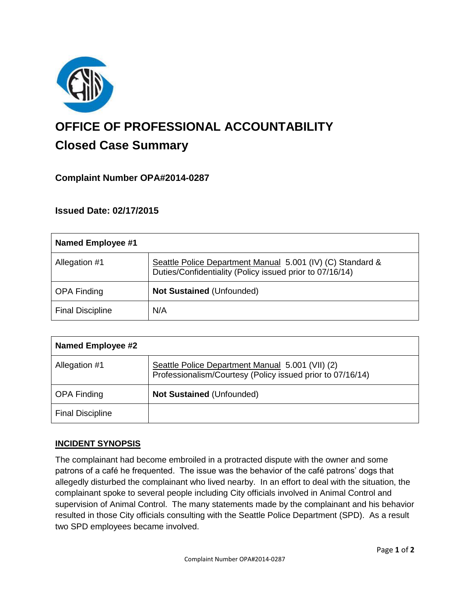

# **OFFICE OF PROFESSIONAL ACCOUNTABILITY Closed Case Summary**

## **Complaint Number OPA#2014-0287**

## **Issued Date: 02/17/2015**

| <b>Named Employee #1</b> |                                                                                                                        |
|--------------------------|------------------------------------------------------------------------------------------------------------------------|
| Allegation #1            | Seattle Police Department Manual 5.001 (IV) (C) Standard &<br>Duties/Confidentiality (Policy issued prior to 07/16/14) |
| <b>OPA Finding</b>       | Not Sustained (Unfounded)                                                                                              |
| <b>Final Discipline</b>  | N/A                                                                                                                    |

| <b>Named Employee #2</b> |                                                                                                                |
|--------------------------|----------------------------------------------------------------------------------------------------------------|
| Allegation #1            | Seattle Police Department Manual 5.001 (VII) (2)<br>Professionalism/Courtesy (Policy issued prior to 07/16/14) |
| <b>OPA Finding</b>       | <b>Not Sustained (Unfounded)</b>                                                                               |
| <b>Final Discipline</b>  |                                                                                                                |

## **INCIDENT SYNOPSIS**

The complainant had become embroiled in a protracted dispute with the owner and some patrons of a café he frequented. The issue was the behavior of the café patrons' dogs that allegedly disturbed the complainant who lived nearby. In an effort to deal with the situation, the complainant spoke to several people including City officials involved in Animal Control and supervision of Animal Control. The many statements made by the complainant and his behavior resulted in those City officials consulting with the Seattle Police Department (SPD). As a result two SPD employees became involved.